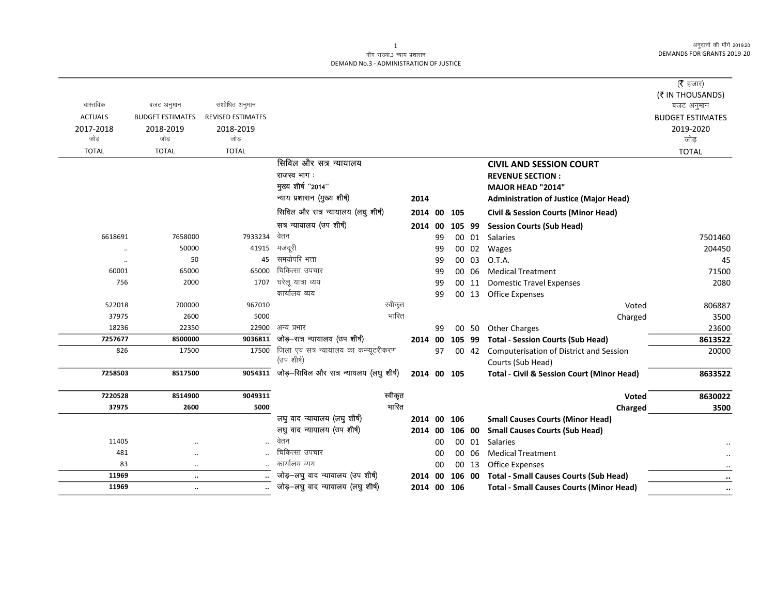अनुदानों की माँगें 2019.20 DEMANDS FOR GRANTS 2019-20

## माँग संख्या.3 न्याय प्रशासन DEMAND No.3 - ADMINISTRATION OF JUSTICE

|                |                         |                          |                                                |                |    |        |       |                                                       | ( $\bar{\tau}$ हजार)    |
|----------------|-------------------------|--------------------------|------------------------------------------------|----------------|----|--------|-------|-------------------------------------------------------|-------------------------|
|                |                         |                          |                                                |                |    |        |       |                                                       | (₹ IN THOUSANDS)        |
| वास्तविक       | बजट अनुमान              | संशोधित अनुमान           |                                                |                |    |        |       |                                                       | बजट अनुमान              |
| <b>ACTUALS</b> | <b>BUDGET ESTIMATES</b> | <b>REVISED ESTIMATES</b> |                                                |                |    |        |       |                                                       | <b>BUDGET ESTIMATES</b> |
| 2017-2018      | 2018-2019               | 2018-2019                |                                                |                |    |        |       |                                                       | 2019-2020               |
| जोड़           | जोड                     | जोड                      |                                                |                |    |        |       |                                                       | जोड़                    |
| <b>TOTAL</b>   | <b>TOTAL</b>            | <b>TOTAL</b>             |                                                |                |    |        |       |                                                       | <b>TOTAL</b>            |
|                |                         |                          | सिविल और सत्र न्यायालय                         |                |    |        |       | <b>CIVIL AND SESSION COURT</b>                        |                         |
|                |                         |                          | राजस्व भाग:                                    |                |    |        |       | <b>REVENUE SECTION:</b>                               |                         |
|                |                         |                          | मुख्य शीर्ष "2014"                             |                |    |        |       | <b>MAJOR HEAD "2014"</b>                              |                         |
|                |                         |                          | न्याय प्रशासन (मुख्य शीर्ष)                    | 2014           |    |        |       | <b>Administration of Justice (Major Head)</b>         |                         |
|                |                         |                          | सिविल और सत्र न्यायालय (लघु शीर्ष)             | 2014           | 00 | 105    |       | <b>Civil &amp; Session Courts (Minor Head)</b>        |                         |
|                |                         |                          | सत्र न्यायालय (उप शीर्ष)                       | 2014 00        |    | 105 99 |       | <b>Session Courts (Sub Head)</b>                      |                         |
| 6618691        | 7658000                 | 7933234                  | वेतन                                           |                | 99 |        | 00 01 | Salaries                                              | 7501460                 |
| $\ddotsc$      | 50000                   | 41915                    | मजदूरी                                         |                | 99 |        | 00 02 | Wages                                                 | 204450                  |
| $\ddotsc$      | 50                      | 45                       | समयोपरि भत्ता                                  |                | 99 |        | 00 03 | O.T.A.                                                | 45                      |
| 60001          | 65000                   | 65000                    | चिकित्सा उपचार                                 |                | 99 |        | 00 06 | <b>Medical Treatment</b>                              | 71500                   |
| 756            | 2000                    | 1707                     | घरेलू यात्रा व्यय                              |                | 99 |        | 00 11 | <b>Domestic Travel Expenses</b>                       | 2080                    |
|                |                         |                          | कार्यालय व्यय                                  |                | 99 |        |       | 00 13 Office Expenses                                 |                         |
| 522018         | 700000                  | 967010                   | स्वीकृत                                        |                |    |        |       | Voted                                                 | 806887                  |
| 37975          | 2600                    | 5000                     | भारित                                          |                |    |        |       | Charged                                               | 3500                    |
| 18236          | 22350                   | 22900                    | अन्य प्रभार                                    |                | 99 |        | 00 50 | <b>Other Charges</b>                                  | 23600                   |
| 7257677        | 8500000                 | 9036811                  | जोड़-सत्र न्यायालय (उप शीर्ष)                  | 2014 00        |    | 105 99 |       | <b>Total - Session Courts (Sub Head)</b>              | 8613522                 |
| 826            | 17500                   | 17500                    | जिला एवं सत्र न्यायालय का कम्प्यूटरीकरण        |                | 97 |        | 00 42 | Computerisation of District and Session               | 20000                   |
|                |                         |                          | (उप शीर्ष)                                     |                |    |        |       | Courts (Sub Head)                                     |                         |
| 7258503        | 8517500                 |                          | 9054311 जोड़-सिविल और सत्र न्यायलय (लघु शीर्ष) | 2014 00 105    |    |        |       | <b>Total - Civil &amp; Session Court (Minor Head)</b> | 8633522                 |
| 7220528        | 8514900                 | 9049311                  | स्वीकृत                                        |                |    |        |       | <b>Voted</b>                                          | 8630022                 |
| 37975          | 2600                    | 5000                     | भारित                                          |                |    |        |       | Charged                                               | 3500                    |
|                |                         |                          | लघु वाद न्यायालय (लघु शीर्ष)                   | 2014 00 106    |    |        |       | <b>Small Causes Courts (Minor Head)</b>               |                         |
|                |                         |                          | लघु वाद न्यायालय (उप शीर्ष)                    | 2014 00 106 00 |    |        |       | <b>Small Causes Courts (Sub Head)</b>                 |                         |
| 11405          |                         |                          | वेतन                                           |                | 00 |        | 00 01 | <b>Salaries</b>                                       |                         |
| 481            | $\ddotsc$               |                          | चिकित्सा उपचार                                 |                | 00 |        | 00 06 | <b>Medical Treatment</b>                              |                         |
| 83             | $\ldots$                |                          | कार्यालय व्यय                                  |                | 00 |        | 00 13 | <b>Office Expenses</b>                                |                         |
| 11969          | $\ddotsc$               |                          | जोड़-लघु वाद न्यायालय (उप शीर्ष)               | 2014           | 00 | 106 00 |       | <b>Total - Small Causes Courts (Sub Head)</b>         |                         |
| 11969          | $\ddotsc$               |                          | जोड़–लघु वाद न्यायालय (लघु शीर्ष)              | 2014 00 106    |    |        |       | <b>Total - Small Causes Courts (Minor Head)</b>       | $\ddot{\phantom{a}}$    |

 $\mathbf{1}$